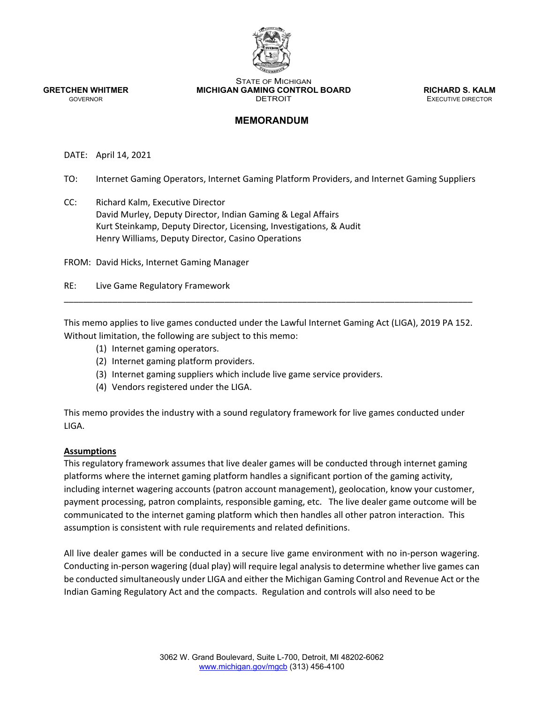

STATE OF MICHIGAN **GRETCHEN WHITMER MICHIGAN GAMING CONTROL BOARD <b>RICHARD S. KALM**<br>GOVERNOR **DETROIT** DETROIT

**EXECUTIVE DIRECTOR** 

## **MEMORANDUM**

DATE: April 14, 2021

TO: Internet Gaming Operators, Internet Gaming Platform Providers, and Internet Gaming Suppliers

CC: Richard Kalm, Executive Director David Murley, Deputy Director, Indian Gaming & Legal Affairs Kurt Steinkamp, Deputy Director, Licensing, Investigations, & Audit Henry Williams, Deputy Director, Casino Operations

FROM: David Hicks, Internet Gaming Manager

RE: Live Game Regulatory Framework

This memo applies to live games conducted under the Lawful Internet Gaming Act (LIGA), 2019 PA 152. Without limitation, the following are subject to this memo:

\_\_\_\_\_\_\_\_\_\_\_\_\_\_\_\_\_\_\_\_\_\_\_\_\_\_\_\_\_\_\_\_\_\_\_\_\_\_\_\_\_\_\_\_\_\_\_\_\_\_\_\_\_\_\_\_\_\_\_\_\_\_\_\_\_\_\_\_\_\_\_\_\_\_\_\_\_\_\_\_\_\_\_\_

- (1) Internet gaming operators.
- (2) Internet gaming platform providers.
- (3) Internet gaming suppliers which include live game service providers.
- (4) Vendors registered under the LIGA.

This memo provides the industry with a sound regulatory framework for live games conducted under LIGA.

#### **Assumptions**

This regulatory framework assumes that live dealer games will be conducted through internet gaming platforms where the internet gaming platform handles a significant portion of the gaming activity, including internet wagering accounts (patron account management), geolocation, know your customer, payment processing, patron complaints, responsible gaming, etc. The live dealer game outcome will be communicated to the internet gaming platform which then handles all other patron interaction. This assumption is consistent with rule requirements and related definitions.

All live dealer games will be conducted in a secure live game environment with no in‐person wagering. Conducting in‐person wagering (dual play) will require legal analysis to determine whether live games can be conducted simultaneously under LIGA and either the Michigan Gaming Control and Revenue Act or the Indian Gaming Regulatory Act and the compacts. Regulation and controls will also need to be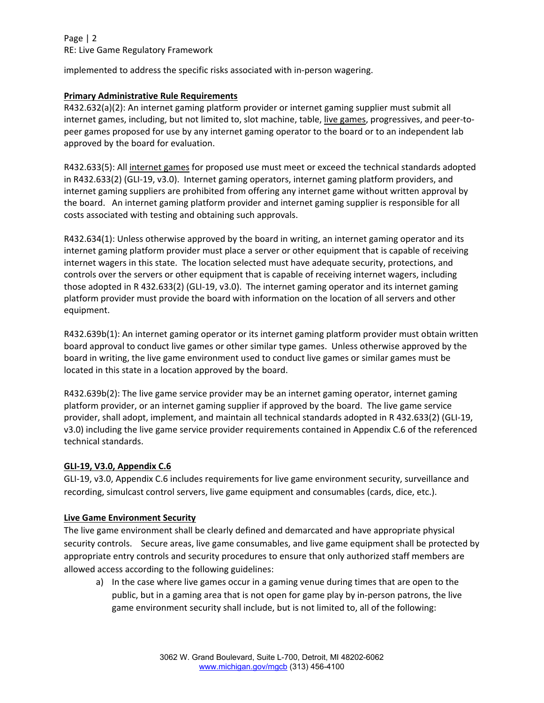## Page | 2 RE: Live Game Regulatory Framework

implemented to address the specific risks associated with in‐person wagering.

### **Primary Administrative Rule Requirements**

R432.632(a)(2): An internet gaming platform provider or internet gaming supplier must submit all internet games, including, but not limited to, slot machine, table, live games, progressives, and peer‐to‐ peer games proposed for use by any internet gaming operator to the board or to an independent lab approved by the board for evaluation.

R432.633(5): All internet games for proposed use must meet or exceed the technical standards adopted in R432.633(2) (GLI‐19, v3.0). Internet gaming operators, internet gaming platform providers, and internet gaming suppliers are prohibited from offering any internet game without written approval by the board. An internet gaming platform provider and internet gaming supplier is responsible for all costs associated with testing and obtaining such approvals.

R432.634(1): Unless otherwise approved by the board in writing, an internet gaming operator and its internet gaming platform provider must place a server or other equipment that is capable of receiving internet wagers in this state. The location selected must have adequate security, protections, and controls over the servers or other equipment that is capable of receiving internet wagers, including those adopted in R 432.633(2) (GLI‐19, v3.0). The internet gaming operator and its internet gaming platform provider must provide the board with information on the location of all servers and other equipment.

R432.639b(1): An internet gaming operator or its internet gaming platform provider must obtain written board approval to conduct live games or other similar type games. Unless otherwise approved by the board in writing, the live game environment used to conduct live games or similar games must be located in this state in a location approved by the board.

R432.639b(2): The live game service provider may be an internet gaming operator, internet gaming platform provider, or an internet gaming supplier if approved by the board. The live game service provider, shall adopt, implement, and maintain all technical standards adopted in R 432.633(2) (GLI‐19, v3.0) including the live game service provider requirements contained in Appendix C.6 of the referenced technical standards.

#### **GLI‐19, V3.0, Appendix C.6**

GLI‐19, v3.0, Appendix C.6 includes requirements for live game environment security, surveillance and recording, simulcast control servers, live game equipment and consumables (cards, dice, etc.).

#### **Live Game Environment Security**

The live game environment shall be clearly defined and demarcated and have appropriate physical security controls. Secure areas, live game consumables, and live game equipment shall be protected by appropriate entry controls and security procedures to ensure that only authorized staff members are allowed access according to the following guidelines:

a) In the case where live games occur in a gaming venue during times that are open to the public, but in a gaming area that is not open for game play by in‐person patrons, the live game environment security shall include, but is not limited to, all of the following: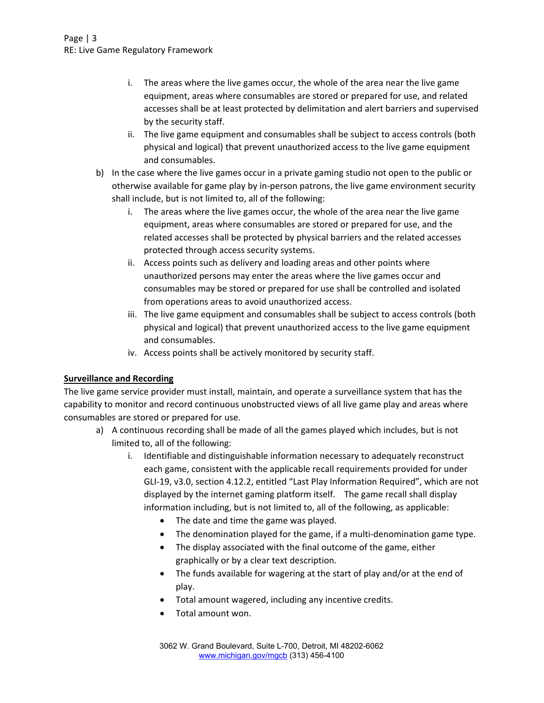## Page | 3 RE: Live Game Regulatory Framework

- i. The areas where the live games occur, the whole of the area near the live game equipment, areas where consumables are stored or prepared for use, and related accesses shall be at least protected by delimitation and alert barriers and supervised by the security staff.
- ii. The live game equipment and consumables shall be subject to access controls (both physical and logical) that prevent unauthorized access to the live game equipment and consumables.
- b) In the case where the live games occur in a private gaming studio not open to the public or otherwise available for game play by in‐person patrons, the live game environment security shall include, but is not limited to, all of the following:
	- i. The areas where the live games occur, the whole of the area near the live game equipment, areas where consumables are stored or prepared for use, and the related accesses shall be protected by physical barriers and the related accesses protected through access security systems.
	- ii. Access points such as delivery and loading areas and other points where unauthorized persons may enter the areas where the live games occur and consumables may be stored or prepared for use shall be controlled and isolated from operations areas to avoid unauthorized access.
	- iii. The live game equipment and consumables shall be subject to access controls (both physical and logical) that prevent unauthorized access to the live game equipment and consumables.
	- iv. Access points shall be actively monitored by security staff.

## **Surveillance and Recording**

The live game service provider must install, maintain, and operate a surveillance system that has the capability to monitor and record continuous unobstructed views of all live game play and areas where consumables are stored or prepared for use.

- a) A continuous recording shall be made of all the games played which includes, but is not limited to, all of the following:
	- i. Identifiable and distinguishable information necessary to adequately reconstruct each game, consistent with the applicable recall requirements provided for under GLI‐19, v3.0, section 4.12.2, entitled "Last Play Information Required", which are not displayed by the internet gaming platform itself. The game recall shall display information including, but is not limited to, all of the following, as applicable:
		- The date and time the game was played.
		- The denomination played for the game, if a multi-denomination game type.
		- The display associated with the final outcome of the game, either graphically or by a clear text description.
		- The funds available for wagering at the start of play and/or at the end of play.
		- Total amount wagered, including any incentive credits.
		- Total amount won.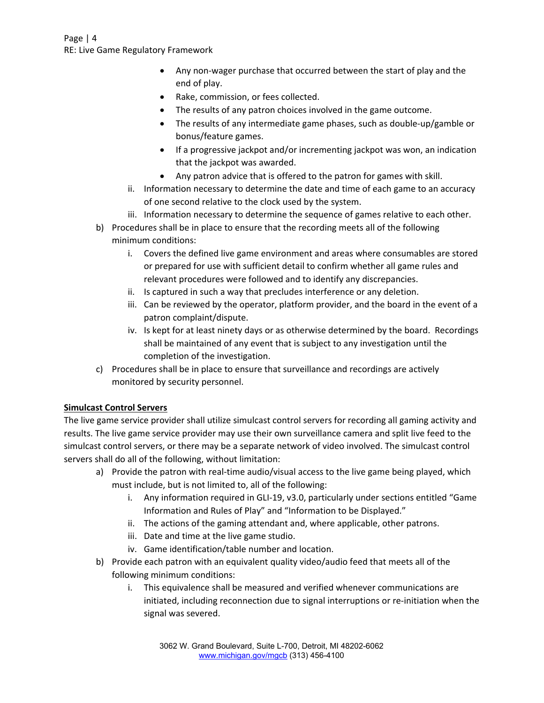## Page | 4 RE: Live Game Regulatory Framework

- Any non-wager purchase that occurred between the start of play and the end of play.
- Rake, commission, or fees collected.
- The results of any patron choices involved in the game outcome.
- The results of any intermediate game phases, such as double‐up/gamble or bonus/feature games.
- If a progressive jackpot and/or incrementing jackpot was won, an indication that the jackpot was awarded.
- Any patron advice that is offered to the patron for games with skill.
- ii. Information necessary to determine the date and time of each game to an accuracy of one second relative to the clock used by the system.
- iii. Information necessary to determine the sequence of games relative to each other.
- b) Procedures shall be in place to ensure that the recording meets all of the following minimum conditions:
	- i. Covers the defined live game environment and areas where consumables are stored or prepared for use with sufficient detail to confirm whether all game rules and relevant procedures were followed and to identify any discrepancies.
	- ii. Is captured in such a way that precludes interference or any deletion.
	- iii. Can be reviewed by the operator, platform provider, and the board in the event of a patron complaint/dispute.
	- iv. Is kept for at least ninety days or as otherwise determined by the board. Recordings shall be maintained of any event that is subject to any investigation until the completion of the investigation.
- c) Procedures shall be in place to ensure that surveillance and recordings are actively monitored by security personnel.

## **Simulcast Control Servers**

The live game service provider shall utilize simulcast control servers for recording all gaming activity and results. The live game service provider may use their own surveillance camera and split live feed to the simulcast control servers, or there may be a separate network of video involved. The simulcast control servers shall do all of the following, without limitation:

- a) Provide the patron with real-time audio/visual access to the live game being played, which must include, but is not limited to, all of the following:
	- i. Any information required in GLI‐19, v3.0, particularly under sections entitled "Game Information and Rules of Play" and "Information to be Displayed."
	- ii. The actions of the gaming attendant and, where applicable, other patrons.
	- iii. Date and time at the live game studio.
	- iv. Game identification/table number and location.
- b) Provide each patron with an equivalent quality video/audio feed that meets all of the following minimum conditions:
	- i. This equivalence shall be measured and verified whenever communications are initiated, including reconnection due to signal interruptions or re-initiation when the signal was severed.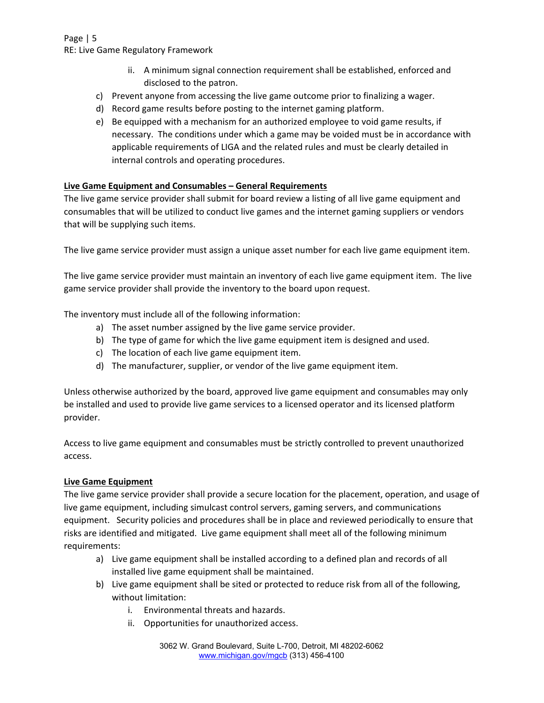## Page | 5 RE: Live Game Regulatory Framework

- ii. A minimum signal connection requirement shall be established, enforced and disclosed to the patron.
- c) Prevent anyone from accessing the live game outcome prior to finalizing a wager.
- d) Record game results before posting to the internet gaming platform.
- e) Be equipped with a mechanism for an authorized employee to void game results, if necessary. The conditions under which a game may be voided must be in accordance with applicable requirements of LIGA and the related rules and must be clearly detailed in internal controls and operating procedures.

## **Live Game Equipment and Consumables – General Requirements**

The live game service provider shall submit for board review a listing of all live game equipment and consumables that will be utilized to conduct live games and the internet gaming suppliers or vendors that will be supplying such items.

The live game service provider must assign a unique asset number for each live game equipment item.

The live game service provider must maintain an inventory of each live game equipment item. The live game service provider shall provide the inventory to the board upon request.

The inventory must include all of the following information:

- a) The asset number assigned by the live game service provider.
- b) The type of game for which the live game equipment item is designed and used.
- c) The location of each live game equipment item.
- d) The manufacturer, supplier, or vendor of the live game equipment item.

Unless otherwise authorized by the board, approved live game equipment and consumables may only be installed and used to provide live game services to a licensed operator and its licensed platform provider.

Access to live game equipment and consumables must be strictly controlled to prevent unauthorized access.

## **Live Game Equipment**

The live game service provider shall provide a secure location for the placement, operation, and usage of live game equipment, including simulcast control servers, gaming servers, and communications equipment. Security policies and procedures shall be in place and reviewed periodically to ensure that risks are identified and mitigated. Live game equipment shall meet all of the following minimum requirements:

- a) Live game equipment shall be installed according to a defined plan and records of all installed live game equipment shall be maintained.
- b) Live game equipment shall be sited or protected to reduce risk from all of the following, without limitation:
	- i. Environmental threats and hazards.
	- ii. Opportunities for unauthorized access.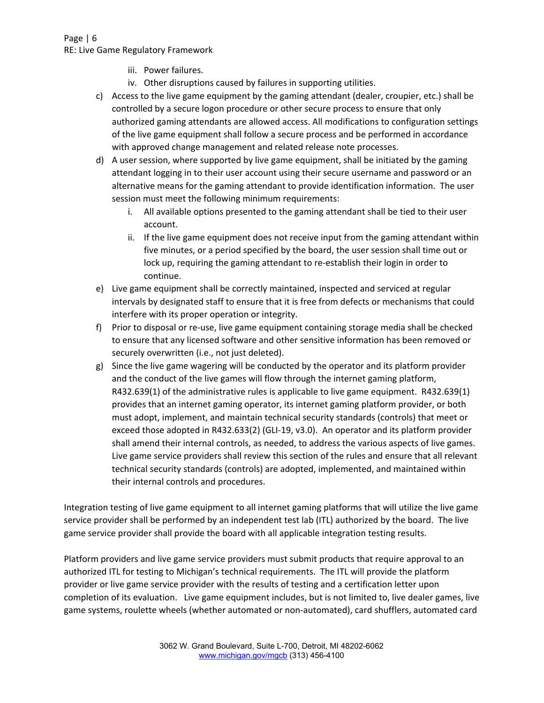## Page | 6 RE: Live Game Regulatory Framework

- iii. Power failures.
- iv. Other disruptions caused by failures in supporting utilities.
- c) Access to the live game equipment by the gaming attendant (dealer, croupier, etc.) shall be controlled by a secure logon procedure or other secure process to ensure that only authorized gaming attendants are allowed access. All modifications to configuration settings of the live game equipment shall follow a secure process and be performed in accordance with approved change management and related release note processes.
- d) A user session, where supported by live game equipment, shall be initiated by the gaming attendant logging in to their user account using their secure username and password or an alternative means for the gaming attendant to provide identification information. The user session must meet the following minimum requirements:
	- i. All available options presented to the gaming attendant shall be tied to their user account.
	- ii. If the live game equipment does not receive input from the gaming attendant within five minutes, or a period specified by the board, the user session shall time out or lock up, requiring the gaming attendant to re‐establish their login in order to continue.
- e) Live game equipment shall be correctly maintained, inspected and serviced at regular intervals by designated staff to ensure that it is free from defects or mechanisms that could interfere with its proper operation or integrity.
- f) Prior to disposal or re-use, live game equipment containing storage media shall be checked to ensure that any licensed software and other sensitive information has been removed or securely overwritten (i.e., not just deleted).
- g) Since the live game wagering will be conducted by the operator and its platform provider and the conduct of the live games will flow through the internet gaming platform, R432.639(1) of the administrative rules is applicable to live game equipment. R432.639(1) provides that an internet gaming operator, its internet gaming platform provider, or both must adopt, implement, and maintain technical security standards (controls) that meet or exceed those adopted in R432.633(2) (GLI-19, v3.0). An operator and its platform provider shall amend their internal controls, as needed, to address the various aspects of live games. Live game service providers shall review this section of the rules and ensure that all relevant technical security standards (controls) are adopted, implemented, and maintained within their internal controls and procedures.

Integration testing of live game equipment to all internet gaming platforms that will utilize the live game service provider shall be performed by an independent test lab (ITL) authorized by the board. The live game service provider shall provide the board with all applicable integration testing results.

Platform providers and live game service providers must submit products that require approval to an authorized ITL for testing to Michigan's technical requirements. The ITL will provide the platform provider or live game service provider with the results of testing and a certification letter upon completion of its evaluation. Live game equipment includes, but is not limited to, live dealer games, live game systems, roulette wheels (whether automated or non‐automated), card shufflers, automated card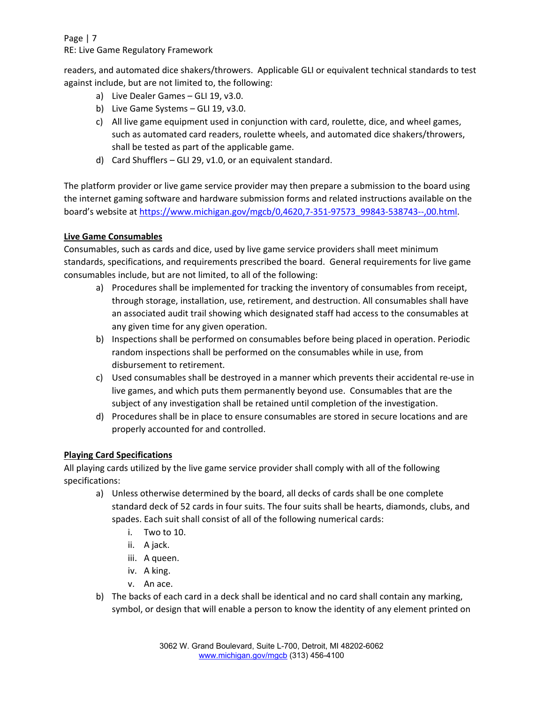Page | 7 RE: Live Game Regulatory Framework

readers, and automated dice shakers/throwers. Applicable GLI or equivalent technical standards to test against include, but are not limited to, the following:

- a) Live Dealer Games GLI 19, v3.0.
- b) Live Game Systems GLI 19, v3.0.
- c) All live game equipment used in conjunction with card, roulette, dice, and wheel games, such as automated card readers, roulette wheels, and automated dice shakers/throwers, shall be tested as part of the applicable game.
- d) Card Shufflers GLI 29, v1.0, or an equivalent standard.

The platform provider or live game service provider may then prepare a submission to the board using the internet gaming software and hardware submission forms and related instructions available on the board's website at https://www.michigan.gov/mgcb/0,4620,7-351-97573\_99843-538743--,00.html.

## **Live Game Consumables**

Consumables, such as cards and dice, used by live game service providers shall meet minimum standards, specifications, and requirements prescribed the board. General requirements for live game consumables include, but are not limited, to all of the following:

- a) Procedures shall be implemented for tracking the inventory of consumables from receipt, through storage, installation, use, retirement, and destruction. All consumables shall have an associated audit trail showing which designated staff had access to the consumables at any given time for any given operation.
- b) Inspections shall be performed on consumables before being placed in operation. Periodic random inspections shall be performed on the consumables while in use, from disbursement to retirement.
- c) Used consumables shall be destroyed in a manner which prevents their accidental re‐use in live games, and which puts them permanently beyond use. Consumables that are the subject of any investigation shall be retained until completion of the investigation.
- d) Procedures shall be in place to ensure consumables are stored in secure locations and are properly accounted for and controlled.

## **Playing Card Specifications**

All playing cards utilized by the live game service provider shall comply with all of the following specifications:

- a) Unless otherwise determined by the board, all decks of cards shall be one complete standard deck of 52 cards in four suits. The four suits shall be hearts, diamonds, clubs, and spades. Each suit shall consist of all of the following numerical cards:
	- i. Two to 10.
	- ii. A jack.
	- iii. A queen.
	- iv. A king.
	- v. An ace.
- b) The backs of each card in a deck shall be identical and no card shall contain any marking, symbol, or design that will enable a person to know the identity of any element printed on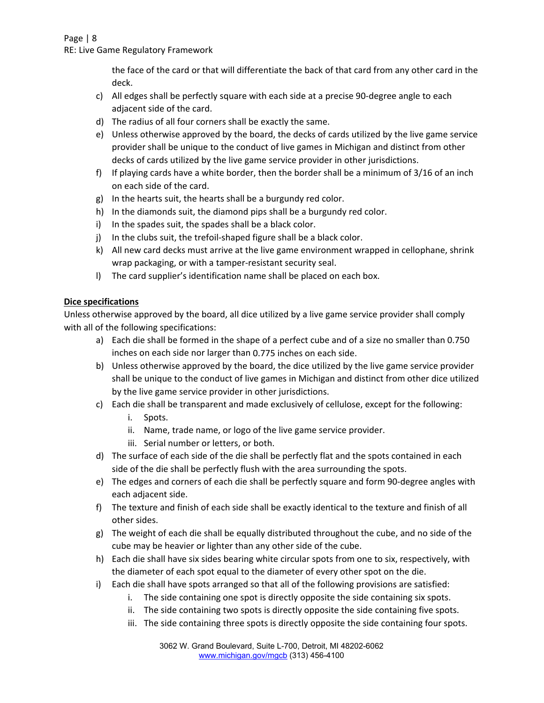RE: Live Game Regulatory Framework

the face of the card or that will differentiate the back of that card from any other card in the deck.

- c) All edges shall be perfectly square with each side at a precise 90-degree angle to each adjacent side of the card.
- d) The radius of all four corners shall be exactly the same.
- e) Unless otherwise approved by the board, the decks of cards utilized by the live game service provider shall be unique to the conduct of live games in Michigan and distinct from other decks of cards utilized by the live game service provider in other jurisdictions.
- f) If playing cards have a white border, then the border shall be a minimum of 3/16 of an inch on each side of the card.
- g) In the hearts suit, the hearts shall be a burgundy red color.
- h) In the diamonds suit, the diamond pips shall be a burgundy red color.
- i) In the spades suit, the spades shall be a black color.
- j) In the clubs suit, the trefoil-shaped figure shall be a black color.
- k) All new card decks must arrive at the live game environment wrapped in cellophane, shrink wrap packaging, or with a tamper‐resistant security seal.
- l) The card supplier's identification name shall be placed on each box.

### **Dice specifications**

Unless otherwise approved by the board, all dice utilized by a live game service provider shall comply with all of the following specifications:

- a) Each die shall be formed in the shape of a perfect cube and of a size no smaller than 0.750 inches on each side nor larger than 0.775 inches on each side.
- b) Unless otherwise approved by the board, the dice utilized by the live game service provider shall be unique to the conduct of live games in Michigan and distinct from other dice utilized by the live game service provider in other jurisdictions.
- c) Each die shall be transparent and made exclusively of cellulose, except for the following:
	- i. Spots.
	- ii. Name, trade name, or logo of the live game service provider.
	- iii. Serial number or letters, or both.
- d) The surface of each side of the die shall be perfectly flat and the spots contained in each side of the die shall be perfectly flush with the area surrounding the spots.
- e) The edges and corners of each die shall be perfectly square and form 90‐degree angles with each adjacent side.
- f) The texture and finish of each side shall be exactly identical to the texture and finish of all other sides.
- g) The weight of each die shall be equally distributed throughout the cube, and no side of the cube may be heavier or lighter than any other side of the cube.
- h) Each die shall have six sides bearing white circular spots from one to six, respectively, with the diameter of each spot equal to the diameter of every other spot on the die.
- i) Each die shall have spots arranged so that all of the following provisions are satisfied:
	- i. The side containing one spot is directly opposite the side containing six spots.
	- ii. The side containing two spots is directly opposite the side containing five spots.
	- iii. The side containing three spots is directly opposite the side containing four spots.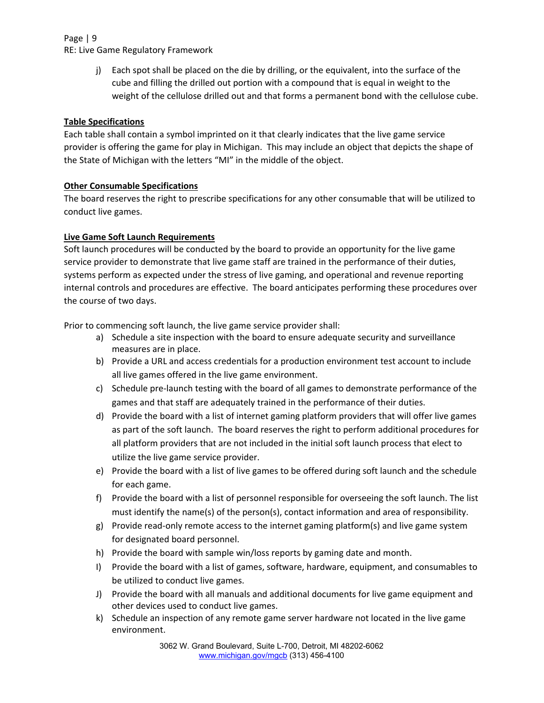## Page | 9 RE: Live Game Regulatory Framework

j) Each spot shall be placed on the die by drilling, or the equivalent, into the surface of the cube and filling the drilled out portion with a compound that is equal in weight to the weight of the cellulose drilled out and that forms a permanent bond with the cellulose cube.

# **Table Specifications**

Each table shall contain a symbol imprinted on it that clearly indicates that the live game service provider is offering the game for play in Michigan. This may include an object that depicts the shape of the State of Michigan with the letters "MI" in the middle of the object.

# **Other Consumable Specifications**

The board reserves the right to prescribe specifications for any other consumable that will be utilized to conduct live games.

# **Live Game Soft Launch Requirements**

Soft launch procedures will be conducted by the board to provide an opportunity for the live game service provider to demonstrate that live game staff are trained in the performance of their duties, systems perform as expected under the stress of live gaming, and operational and revenue reporting internal controls and procedures are effective. The board anticipates performing these procedures over the course of two days.

Prior to commencing soft launch, the live game service provider shall:

- a) Schedule a site inspection with the board to ensure adequate security and surveillance measures are in place.
- b) Provide a URL and access credentials for a production environment test account to include all live games offered in the live game environment.
- c) Schedule pre‐launch testing with the board of all games to demonstrate performance of the games and that staff are adequately trained in the performance of their duties.
- d) Provide the board with a list of internet gaming platform providers that will offer live games as part of the soft launch. The board reserves the right to perform additional procedures for all platform providers that are not included in the initial soft launch process that elect to utilize the live game service provider.
- e) Provide the board with a list of live games to be offered during soft launch and the schedule for each game.
- f) Provide the board with a list of personnel responsible for overseeing the soft launch. The list must identify the name(s) of the person(s), contact information and area of responsibility.
- g) Provide read‐only remote access to the internet gaming platform(s) and live game system for designated board personnel.
- h) Provide the board with sample win/loss reports by gaming date and month.
- I) Provide the board with a list of games, software, hardware, equipment, and consumables to be utilized to conduct live games.
- J) Provide the board with all manuals and additional documents for live game equipment and other devices used to conduct live games.
- k) Schedule an inspection of any remote game server hardware not located in the live game environment.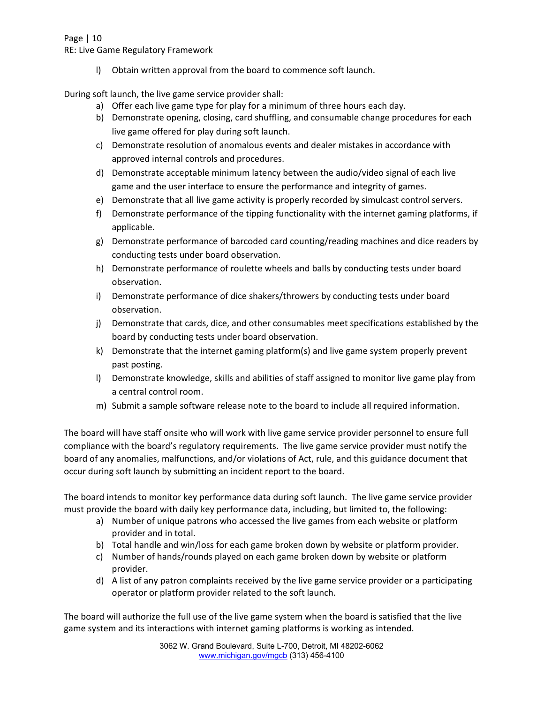RE: Live Game Regulatory Framework

l) Obtain written approval from the board to commence soft launch.

During soft launch, the live game service provider shall:

- a) Offer each live game type for play for a minimum of three hours each day.
- b) Demonstrate opening, closing, card shuffling, and consumable change procedures for each live game offered for play during soft launch.
- c) Demonstrate resolution of anomalous events and dealer mistakes in accordance with approved internal controls and procedures.
- d) Demonstrate acceptable minimum latency between the audio/video signal of each live game and the user interface to ensure the performance and integrity of games.
- e) Demonstrate that all live game activity is properly recorded by simulcast control servers.
- f) Demonstrate performance of the tipping functionality with the internet gaming platforms, if applicable.
- g) Demonstrate performance of barcoded card counting/reading machines and dice readers by conducting tests under board observation.
- h) Demonstrate performance of roulette wheels and balls by conducting tests under board observation.
- i) Demonstrate performance of dice shakers/throwers by conducting tests under board observation.
- j) Demonstrate that cards, dice, and other consumables meet specifications established by the board by conducting tests under board observation.
- k) Demonstrate that the internet gaming platform(s) and live game system properly prevent past posting.
- l) Demonstrate knowledge, skills and abilities of staff assigned to monitor live game play from a central control room.
- m) Submit a sample software release note to the board to include all required information.

The board will have staff onsite who will work with live game service provider personnel to ensure full compliance with the board's regulatory requirements. The live game service provider must notify the board of any anomalies, malfunctions, and/or violations of Act, rule, and this guidance document that occur during soft launch by submitting an incident report to the board.

The board intends to monitor key performance data during soft launch. The live game service provider must provide the board with daily key performance data, including, but limited to, the following:

- a) Number of unique patrons who accessed the live games from each website or platform provider and in total.
- b) Total handle and win/loss for each game broken down by website or platform provider.
- c) Number of hands/rounds played on each game broken down by website or platform provider.
- d) A list of any patron complaints received by the live game service provider or a participating operator or platform provider related to the soft launch.

The board will authorize the full use of the live game system when the board is satisfied that the live game system and its interactions with internet gaming platforms is working as intended.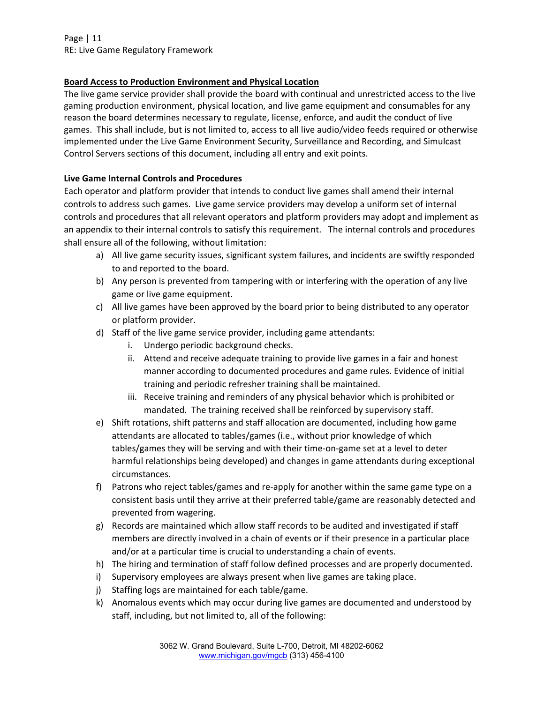Page | 11 RE: Live Game Regulatory Framework

### **Board Access to Production Environment and Physical Location**

The live game service provider shall provide the board with continual and unrestricted access to the live gaming production environment, physical location, and live game equipment and consumables for any reason the board determines necessary to regulate, license, enforce, and audit the conduct of live games. This shall include, but is not limited to, access to all live audio/video feeds required or otherwise implemented under the Live Game Environment Security, Surveillance and Recording, and Simulcast Control Servers sections of this document, including all entry and exit points.

### **Live Game Internal Controls and Procedures**

Each operator and platform provider that intends to conduct live games shall amend their internal controls to address such games. Live game service providers may develop a uniform set of internal controls and procedures that all relevant operators and platform providers may adopt and implement as an appendix to their internal controls to satisfy this requirement. The internal controls and procedures shall ensure all of the following, without limitation:

- a) All live game security issues, significant system failures, and incidents are swiftly responded to and reported to the board.
- b) Any person is prevented from tampering with or interfering with the operation of any live game or live game equipment.
- c) All live games have been approved by the board prior to being distributed to any operator or platform provider.
- d) Staff of the live game service provider, including game attendants:
	- i. Undergo periodic background checks.
	- ii. Attend and receive adequate training to provide live games in a fair and honest manner according to documented procedures and game rules. Evidence of initial training and periodic refresher training shall be maintained.
	- iii. Receive training and reminders of any physical behavior which is prohibited or mandated. The training received shall be reinforced by supervisory staff.
- e) Shift rotations, shift patterns and staff allocation are documented, including how game attendants are allocated to tables/games (i.e., without prior knowledge of which tables/games they will be serving and with their time‐on‐game set at a level to deter harmful relationships being developed) and changes in game attendants during exceptional circumstances.
- f) Patrons who reject tables/games and re-apply for another within the same game type on a consistent basis until they arrive at their preferred table/game are reasonably detected and prevented from wagering.
- g) Records are maintained which allow staff records to be audited and investigated if staff members are directly involved in a chain of events or if their presence in a particular place and/or at a particular time is crucial to understanding a chain of events.
- h) The hiring and termination of staff follow defined processes and are properly documented.
- i) Supervisory employees are always present when live games are taking place.
- j) Staffing logs are maintained for each table/game.
- k) Anomalous events which may occur during live games are documented and understood by staff, including, but not limited to, all of the following: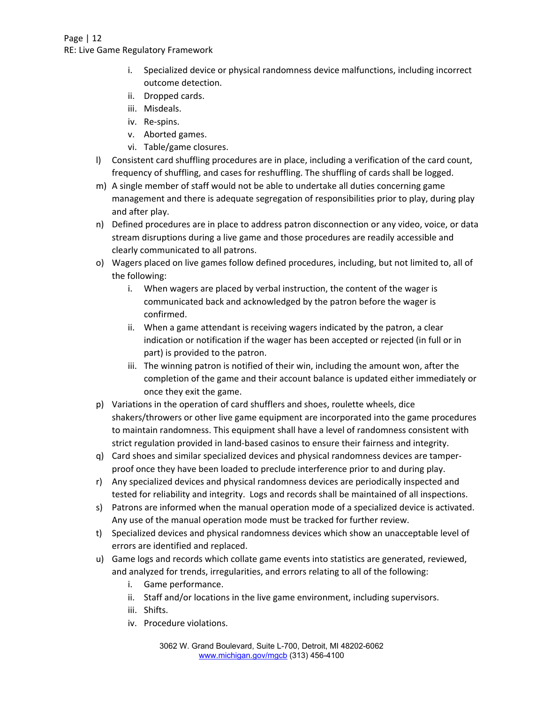RE: Live Game Regulatory Framework

- i. Specialized device or physical randomness device malfunctions, including incorrect outcome detection.
- ii. Dropped cards.
- iii. Misdeals.
- iv. Re‐spins.
- v. Aborted games.
- vi. Table/game closures.
- l) Consistent card shuffling procedures are in place, including a verification of the card count, frequency of shuffling, and cases for reshuffling. The shuffling of cards shall be logged.
- m) A single member of staff would not be able to undertake all duties concerning game management and there is adequate segregation of responsibilities prior to play, during play and after play.
- n) Defined procedures are in place to address patron disconnection or any video, voice, or data stream disruptions during a live game and those procedures are readily accessible and clearly communicated to all patrons.
- o) Wagers placed on live games follow defined procedures, including, but not limited to, all of the following:
	- i. When wagers are placed by verbal instruction, the content of the wager is communicated back and acknowledged by the patron before the wager is confirmed.
	- ii. When a game attendant is receiving wagers indicated by the patron, a clear indication or notification if the wager has been accepted or rejected (in full or in part) is provided to the patron.
	- iii. The winning patron is notified of their win, including the amount won, after the completion of the game and their account balance is updated either immediately or once they exit the game.
- p) Variations in the operation of card shufflers and shoes, roulette wheels, dice shakers/throwers or other live game equipment are incorporated into the game procedures to maintain randomness. This equipment shall have a level of randomness consistent with strict regulation provided in land‐based casinos to ensure their fairness and integrity.
- q) Card shoes and similar specialized devices and physical randomness devices are tamper‐ proof once they have been loaded to preclude interference prior to and during play.
- r) Any specialized devices and physical randomness devices are periodically inspected and tested for reliability and integrity. Logs and records shall be maintained of all inspections.
- s) Patrons are informed when the manual operation mode of a specialized device is activated. Any use of the manual operation mode must be tracked for further review.
- t) Specialized devices and physical randomness devices which show an unacceptable level of errors are identified and replaced.
- u) Game logs and records which collate game events into statistics are generated, reviewed, and analyzed for trends, irregularities, and errors relating to all of the following:
	- i. Game performance.
	- ii. Staff and/or locations in the live game environment, including supervisors.
	- iii. Shifts.
	- iv. Procedure violations.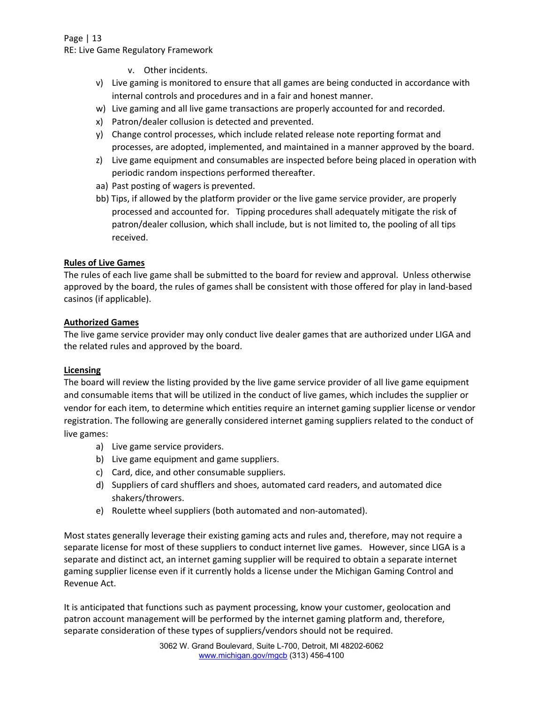RE: Live Game Regulatory Framework

- v. Other incidents.
- v) Live gaming is monitored to ensure that all games are being conducted in accordance with internal controls and procedures and in a fair and honest manner.
- w) Live gaming and all live game transactions are properly accounted for and recorded.
- x) Patron/dealer collusion is detected and prevented.
- y) Change control processes, which include related release note reporting format and processes, are adopted, implemented, and maintained in a manner approved by the board.
- z) Live game equipment and consumables are inspected before being placed in operation with periodic random inspections performed thereafter.
- aa) Past posting of wagers is prevented.
- bb) Tips, if allowed by the platform provider or the live game service provider, are properly processed and accounted for. Tipping procedures shall adequately mitigate the risk of patron/dealer collusion, which shall include, but is not limited to, the pooling of all tips received.

## **Rules of Live Games**

The rules of each live game shall be submitted to the board for review and approval. Unless otherwise approved by the board, the rules of games shall be consistent with those offered for play in land‐based casinos (if applicable).

### **Authorized Games**

The live game service provider may only conduct live dealer games that are authorized under LIGA and the related rules and approved by the board.

#### **Licensing**

The board will review the listing provided by the live game service provider of all live game equipment and consumable items that will be utilized in the conduct of live games, which includes the supplier or vendor for each item, to determine which entities require an internet gaming supplier license or vendor registration. The following are generally considered internet gaming suppliers related to the conduct of live games:

- a) Live game service providers.
- b) Live game equipment and game suppliers.
- c) Card, dice, and other consumable suppliers.
- d) Suppliers of card shufflers and shoes, automated card readers, and automated dice shakers/throwers.
- e) Roulette wheel suppliers (both automated and non‐automated).

Most states generally leverage their existing gaming acts and rules and, therefore, may not require a separate license for most of these suppliers to conduct internet live games. However, since LIGA is a separate and distinct act, an internet gaming supplier will be required to obtain a separate internet gaming supplier license even if it currently holds a license under the Michigan Gaming Control and Revenue Act.

It is anticipated that functions such as payment processing, know your customer, geolocation and patron account management will be performed by the internet gaming platform and, therefore, separate consideration of these types of suppliers/vendors should not be required.